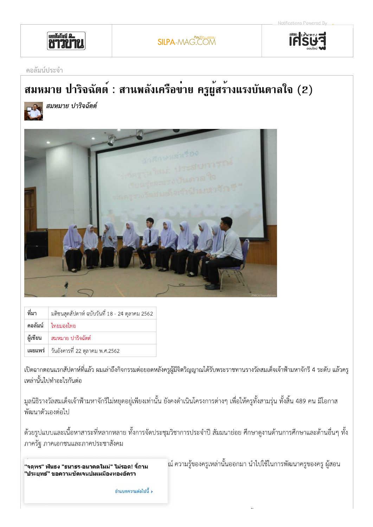

**ELESE** 

## คอลัมน์ประจำ

## สมหมาย ปาริจฉัตต์ : สานพลังเครือข่าย ครูผู้สร้างแรงบันดาลใจ (2)



สมหมาย ปาริจฉัตต์



| ที่มา | มติชนสุดสัปดาห์ ฉบับวันที่ 18 - 24 ตุลาคม 2562 |
|-------|------------------------------------------------|
|       | ิ คอลัมน์   ไทยมองไทย                          |
|       | ผู้เขียน สมหมาย ปาริจฉัตต์                     |
|       | เผยแพร่   วันอังคารที่ 22 ตุลาคม พ.ศ.2562      |

้เปิดฉากตอนแรกสัปดาห์ที่แล้ว ผมเล่าถึงกิจกรรมต่อยอดหลังครูผู้มีจิตวิญญาณได้รับพระราชทานรางวัลสมเด็จเจ้าฟ้ามหาจักรี 4 ระดับ แล้วครู เหล่านั้นไปทำอะไรกันต่อ

้มูลนิธิรางวัลสมเด็จเจ้าฟ้ามหาจักรีไม่หยุดอยู่เพียงเท่านั้น ยังคงดำเนินโครงการต่างๆ เพื่อให้ครูทั้งสามรุ่น ทั้งสิ้น 489 คน มีโอกาส พัฒนาตัวเองต่อไป

้ด้วยรูปแบบและเนื้อหาสาระที่หลากหลาย ทั้งการจัดประชุมวิชาการประจำปี สัมมนาย่อย ศึกษาดูงานด้านการศึกษาและด้านอื่นๆ ทั้ง ภาครัฐ ภาคเอกชนและภาคประชาสังคม

"จดุพร" ฟันธง "ธนาธร-อนาคตใหม่" ไม่รอด! จี้ถาม "ประยุทธ์" ขอความชัดเจนปมเหมืองทองอัครา

้ณ์ ความรู้ของครูเหล่านั้นออกมา นำไปใช้ในการพัฒนาครูของครู ผู้สอน

อ่านบทความต่อไปนี้ >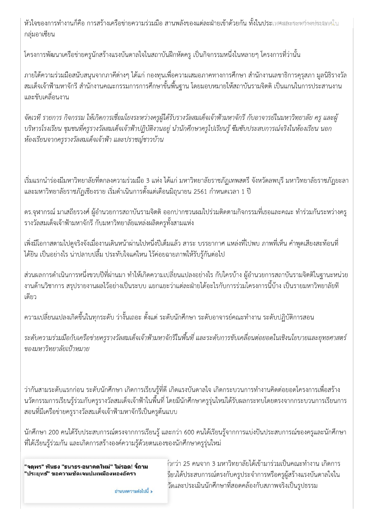หัวใจของการทำงานก็คือ การสร้างเครือข่ายความร่วมมือ สานพลังของแต่ละฝ่ายเข้าด้วยกัน ทั้งในประเทศและระหร่างง่ระมทศใน กลุ่มอาเซียน

์ โครงการพัฒนาเครือข่ายครูนักสร้างแรงบันดาลใจในสถาบันฝึกหัดครู เป็นกิจกรรมหนึ่งในหลายๆ โครงการที่ว่านั้น

ภายใต้ความร่วมมือสนับสนุนจากภาคีต่างๆ ได้แก่ กองทุนเพื่อความเสมอภาคทางการศึกษา สำนักงานเลขาธิการคุรุสภา มูลนิธิรางวัล ้สมเด็จเจ้าฟ้ามหาจักรี สำนักงานคณะกรรมการการศึกษาขั้นพื้นฐาน โดยมอบหมายให้สถาบันรามจิตติ เป็นแกนในการประสานงาน ู และขับเคลื่อนงาน

จัดเวที รายการ กิจกรรม ให้เกิดการเชื่อมโยงระหว่างครูผู้ได้รับรางวัลสมเด็จเจ้าฟ้ามหาจักรี กับอาจารย์ในมหาวิทยาลัย ครู และผู้ ้บริหารโรงเรียน ชุมชนที่ครูรางวัลสมเด็จเจ้าฟ้าปฏิบัติงานอยู่ นำนักศึกษาครูไปเรียนรู้ ซึมซับประสบการณ์จริงในห้องเรียน นอก ห้องเรียนจากครูรางวัลสมเด็จเจ้าฟ้า และปราชญ์ชาวบ้าน

้เริ่มแรกนำร่องมีมหาวิทยาลัยที่ตกลงความร่วมมือ 3 แห่ง ได้แก่ มหาวิทยาลัยราชภัฏเทพสตรี จังหวัดลพบุรี มหาวิทยาลัยราชภัฏยะลา ี และมหาวิทยาลัยราชภัฏเชียงราย เริ่มดำเนินการตั้งแต่เดือนมิถุนายน 2561 กำหนดเวลา 1 ปี

้ ดร.จุฬากรณ์ มาเสถียรวงศ์ ผู้อำนวยการสถาบันรามจิตติ ออกปากชวนผมไปร่วมติดตามกิจกรรมที่เธอและคณะ ทำร่วมกันระหว่างครู ้รางวัลสมเด็จเจ้าฟ้ามหาจักรี กับมหาวิทยาลัยแหล่งผลิตครูทั้งสามแห่ง

่ เพิ่งมีโอกาสตามไปดูจริงจังเมื่องานเดินหน้าผ่านไปหนึ่งปีเต็มแล้ว สาระ บรรยากาศ แหล่งที่ไปพบ ภาพที่เห็น คำพูดเสียงสะท้อนที่ ได้ยิน เป็นอย่างไร น่าปลาบปลื้ม ประทับใจแค่ไหน ไว้ค่อยฉายภาพให้รับรู้กันต่อไป

่ ส่วนผลการดำเนินการหนึ่งขวบปีที่ผ่านมา ทำให้เกิดความเปลี่ยนแปลงอย่างไร กับใครบ้าง ผู้อำนวยการสถาบันรามจิตติในฐานะหน่วย ึ่งานด้านวิชาการ สรุปรายงานผลไว้อย่างเป็นระบบ แยกแยะว่าแต่ละฝ่ายได้อะไรกับการร่วมโครงการนี้บ้าง เป็นรายมหาวิทยาลัยที ้เดียว

้ ความเปลี่ยนแปลงเกิดขึ้นในทุกระดับ ว่างั้นเถอะ ตั้งแต่ ระดับนักศึกษา ระดับอาจารย์คณะทำงาน ระดับปฏิบัติการสอน

ระดับความร่วมมือกับเครือข่ายครูรางวัลสมเด็จเจ้าฟ้ามหาจักรีในพื้นที่ และระดับการขับเคลื่อนต่อยอดในเชิงนโยบายและยุทธศาสตร์ ของมหาวิทยาลัยเป้าหมาย

้ว่ากันสามระดับแรกก่อน ระดับนักศึกษา เกิดการเรียนรู้ที่ดี เกิดแรงบันดาลใจ เกิดกระบวนการทำงานคิดต่อยอดโครงการเพื่อสร้าง ้นวัตกรรมการเรียนรู้ร่วมกับครูรางวัลสมเด็จเจ้าฟ้าในพื้นที่ โดยมีนักศึกษาครูรุ่นใหม่ได้รับผลกระทบโดยตรงจากกระบวนการเรียนการ ้สอนที่มีเครือข่ายครูรางวัลสมเด็จเจ้าฟ้ามหาจักรีเป็นครูต้นแบบ

้นักศึกษา 200 คนได้รับประสบการณ์ตรงจากการเรียนรู้ และกว่า 600 คนได้เรียนรู้จากการแบ่งปันประสบการณ์ของครูและนักศึกษา ้ที่ได้เรียนรู้ร่วมกัน และเกิดการสร้างองค์ความรู้ด้วยตนเองของนักศึกษาครูรุ่นใหม่

"จตุพร" ฟันธง "ธนาธร-อนาคตใหม่" ไม่รอด! จี้ถาม "ประยุทธ์" ขอความชัดเจนปมเหมืองทองอัครา

้ำกว่า 25 คนจาก 3 มหาวิทยาลัยได้เข้ามาร่วมเป็นคณะทำงาน เกิดการ รียนได้ประสบการณ์ตรงกับครูประจำการหรือครูผู้สร้างแรงบันดาลใจใน วัดและประเมินนักศึกษาที่สอดคล้องกับสภาพจริงเป็นรูปธรรม

อ่านบทความต่อไปนี้ **>**